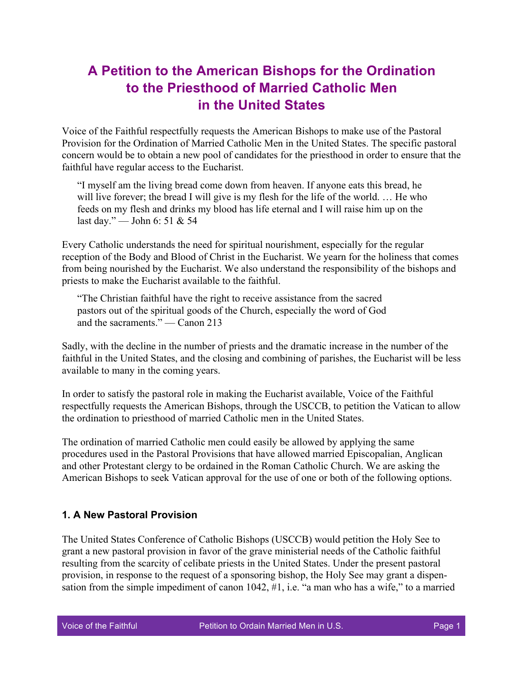## **A Petition to the American Bishops for the Ordination to the Priesthood of Married Catholic Men in the United States**

Voice of the Faithful respectfully requests the American Bishops to make use of the Pastoral Provision for the Ordination of Married Catholic Men in the United States. The specific pastoral concern would be to obtain a new pool of candidates for the priesthood in order to ensure that the faithful have regular access to the Eucharist.

"I myself am the living bread come down from heaven. If anyone eats this bread, he will live forever; the bread I will give is my flesh for the life of the world. ... He who feeds on my flesh and drinks my blood has life eternal and I will raise him up on the last day." — John 6: 51 & 54

Every Catholic understands the need for spiritual nourishment, especially for the regular reception of the Body and Blood of Christ in the Eucharist. We yearn for the holiness that comes from being nourished by the Eucharist. We also understand the responsibility of the bishops and priests to make the Eucharist available to the faithful.

"The Christian faithful have the right to receive assistance from the sacred pastors out of the spiritual goods of the Church, especially the word of God and the sacraments." — Canon 213

Sadly, with the decline in the number of priests and the dramatic increase in the number of the faithful in the United States, and the closing and combining of parishes, the Eucharist will be less available to many in the coming years.

In order to satisfy the pastoral role in making the Eucharist available, Voice of the Faithful respectfully requests the American Bishops, through the USCCB, to petition the Vatican to allow the ordination to priesthood of married Catholic men in the United States.

The ordination of married Catholic men could easily be allowed by applying the same procedures used in the Pastoral Provisions that have allowed married Episcopalian, Anglican and other Protestant clergy to be ordained in the Roman Catholic Church. We are asking the American Bishops to seek Vatican approval for the use of one or both of the following options.

## **1. A New Pastoral Provision**

The United States Conference of Catholic Bishops (USCCB) would petition the Holy See to grant a new pastoral provision in favor of the grave ministerial needs of the Catholic faithful resulting from the scarcity of celibate priests in the United States. Under the present pastoral provision, in response to the request of a sponsoring bishop, the Holy See may grant a dispensation from the simple impediment of canon 1042, #1, i.e. "a man who has a wife," to a married